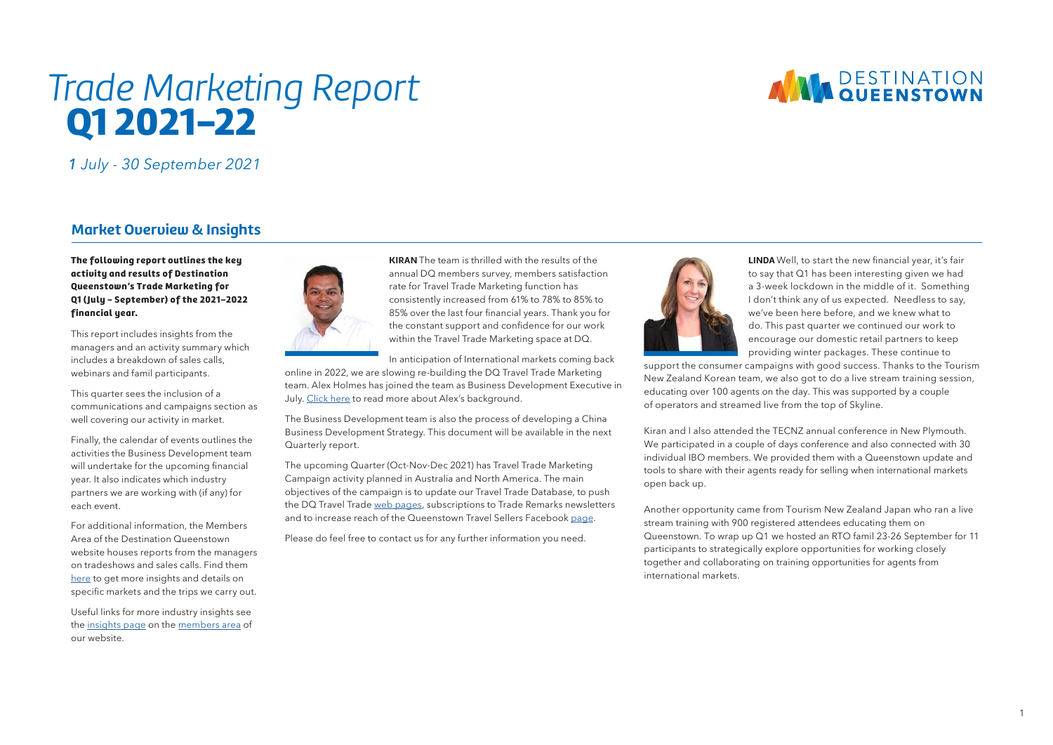# **ANN DESTINATION**

## *Trade Marketing Report* Q1 2021-22

*1* July - 30 September 2021

### **Market Overview & Insights**

The following report outlines the key activity and results of Destination Queenstown's Trade Marketing for Q1 ( July - September) of the 2021–2022 financial year.

This report includes insights from the managers and an activity summary which includes a breakdown of sales calls, webinars and famil participants.

This quarter sees the inclusion of a communications and campaigns section as well covering our activity in market.

Finally, the calendar of events outlines the activities the Business Development team will undertake for the upcoming financial year. It also indicates which industry partners we are working with (if any) for each event.

For additional information, the Members Area of the Destination Queenstown website houses reports from the managers on tradeshows and sales calls. Find them [here](https://www.queenstownnz.co.nz/destination-queenstown-member-area/trade-marketing-reports/) to get more insights and details on specific markets and the trips we carry out.

Useful links for more industry insights see the [insights page](https://www.queenstownnz.co.nz/destination-queenstown-member-area/insights/) on the [members area](https://www.queenstownnz.co.nz/destination-queenstown-member-area/) of our website.



**KIRAN** The team is thrilled with the results of the annual DQ members survey, members satisfaction rate for Travel Trade Marketing function has consistently increased from 61% to 78% to 85% to 85% over the last four financial years. Thank you for the constant support and confidence for our work within the Travel Trade Marketing space at DQ.

In anticipation of International markets coming back online in 2022, we are slowing re-building the DQ Travel Trade Marketing team. Alex Holmes has joined the team as Business Development Executive in July. [Click here](https://www.queenstownnz.co.nz/trade/) to read more about Alex's background.

The Business Development team is also the process of developing a China Business Development Strategy. This document will be available in the next Quarterly report.

The upcoming Quarter (Oct-Nov-Dec 2021) has Travel Trade Marketing Campaign activity planned in Australia and North America. The main objectives of the campaign is to update our Travel Trade Database, to push the DQ Travel Trade [web pages](https://www.queenstownnz.co.nz/trade/), subscriptions to Trade Remarks newsletters and to increase reach of the Queenstown Travel Sellers Facebook [page](https://www.facebook.com/groups/503340604377945).

Please do feel free to contact us for any further information you need.



**LINDA** Well, to start the new financial year, it's fair to say that Q1 has been interesting given we had a 3-week lockdown in the middle of it. Something I don't think any of us expected. Needless to say, we've been here before, and we knew what to do. This past quarter we continued our work to encourage our domestic retail partners to keep providing winter packages. These continue to

support the consumer campaigns with good success. Thanks to the Tourism New Zealand Korean team, we also got to do a live stream training session, educating over 100 agents on the day. This was supported by a couple of operators and streamed live from the top of Skyline.

Kiran and I also attended the TECNZ annual conference in New Plymouth. We participated in a couple of days conference and also connected with 30 individual IBO members. We provided them with a Queenstown update and tools to share with their agents ready for selling when international markets open back up.

Another opportunity came from Tourism New Zealand Japan who ran a live stream training with 900 registered attendees educating them on Queenstown. To wrap up Q1 we hosted an RTO famil 23-26 September for 11 participants to strategically explore opportunities for working closely together and collaborating on training opportunities for agents from international markets.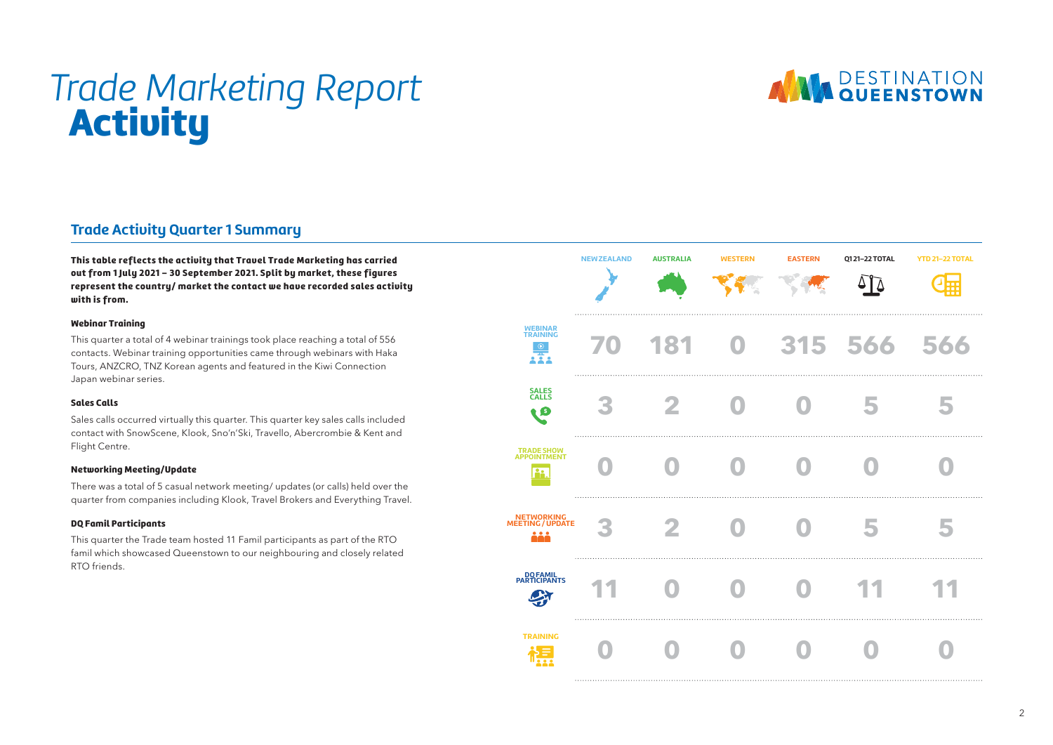# *Trade Marketing Report* Activity



## **Trade Activity Quarter 1 Summary**

This table reflects the activity that Travel Trade Marketing has carried out from 1 July 2021 - 30 September 2021. Split by market, these figures represent the country/ market the contact we have recorded sales activity with is from.

#### Webinar Training

This quarter a total of 4 webinar trainings took place reaching a total of 556 contacts. Webinar training opportunities came through webinars with Haka Tours, ANZCRO, TNZ Korean agents and featured in the Kiwi Connection Japan webinar series.

#### Sales Calls

Sales calls occurred virtually this quarter. This quarter key sales calls included contact with SnowScene, Klook, Sno'n'Ski, Travello, Abercrombie & Kent and Flight Centre.

#### Networking Meeting/Update

There was a total of 5 casual network meeting/ updates (or calls) held over the quarter from companies including Klook, Travel Brokers and Everything Travel.

#### DQ Famil Participants

This quarter the Trade team hosted 11 Famil participants as part of the RTO famil which showcased Queenstown to our neighbouring and closely related RTO friends.

|                                                     | <b>NEW ZEALAND</b> | <b>AUSTRALIA</b> | <b>WESTERN</b> | <b>EASTERN</b> | Q121-22 TOTAL<br>∆ | <b>YTD 21-22 TOTAL</b><br>⊞ |
|-----------------------------------------------------|--------------------|------------------|----------------|----------------|--------------------|-----------------------------|
| <b>WEBINAR</b><br><b>TRAINING</b><br>$\odot$<br>炁   |                    | 181              | $\bf{O}$       |                | 315 566            | 566                         |
| <b>SALES</b><br>CALLS<br>Q S                        | ×<br>.             |                  |                |                | 5                  | 5                           |
| <b>TRADE SHOW</b><br><b>APPOINTMENT</b><br>å.       |                    |                  |                |                |                    |                             |
| <b>NETWORKING</b><br><b>MEETING / UPDATE</b><br>ååå |                    |                  |                |                | 5                  | 5                           |
| DO FAMIL<br>PARTICIPANTS                            |                    |                  |                |                |                    |                             |
| <b>TRAINING</b>                                     |                    |                  |                |                |                    |                             |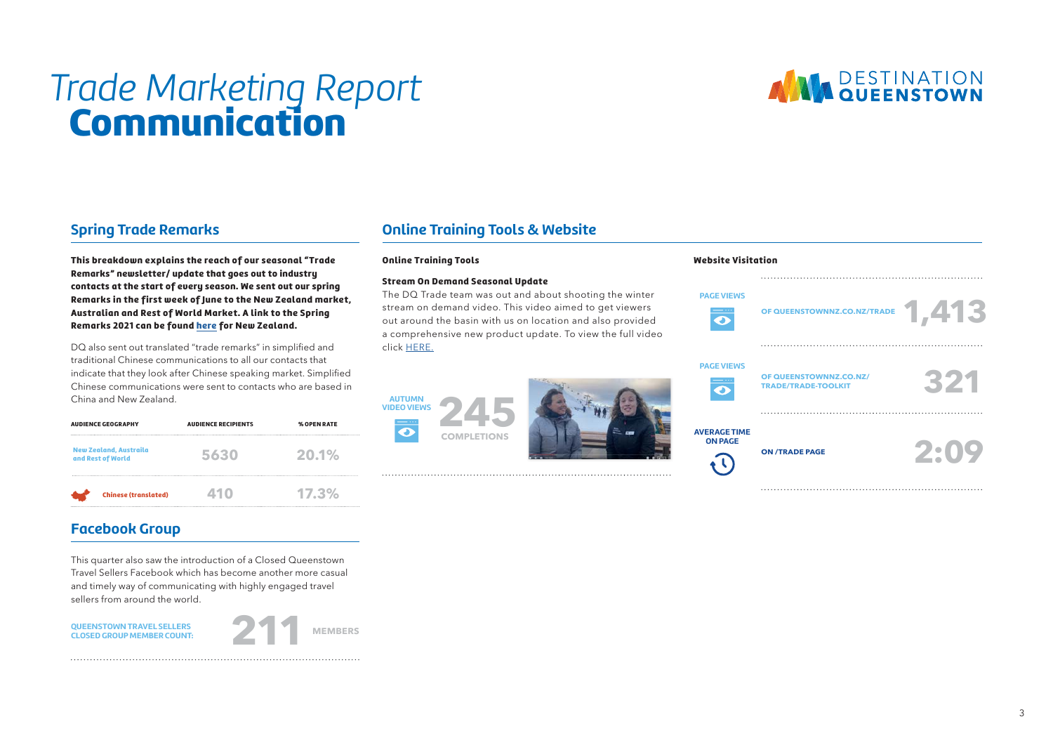# *Trade Marketing Report* **Communication**



## **Spring Trade Remarks**

This breakdown explains the reach of our seasonal "Trade Remarks" newsletter/ update that goes out to industry contacts at the start of every season. We sent out our spring Remarks in the first week of June to the New Zealand market, Australian and Rest of World Market. A link to the Spring Remarks 2021 can be found [here](https://mailchi.mp/8beaa429eed4/queenstown-nz-trade-industry-update-426167) for New Zealand.

DQ also sent out translated "trade remarks" in simplified and traditional Chinese communications to all our contacts that indicate that they look after Chinese speaking market. Simplified Chinese communications were sent to contacts who are based in China and New Zealand.

| <b>AUDIENCE GEOGRAPHY</b>                          | <b>AUDIENCE RECIPIENTS</b> | % OPEN RATE |
|----------------------------------------------------|----------------------------|-------------|
| <b>New Zealand, Austraila</b><br>and Rest of World | 5630                       | 20.1%       |
| <b>Chinese (translated)</b>                        | 41 O                       | $17.3\%$    |

### **Facebook Group**

This quarter also saw the introduction of a Closed Queenstown Travel Sellers Facebook which has become another more casual and timely way of communicating with highly engaged travel sellers from around the world.





### **Online Training Tools & Website**

#### Online Training Tools

**AUTUMN**

#### Stream On Demand Seasonal Update

The DQ Trade team was out and about shooting the winter stream on demand video. This video aimed to get viewers out around the basin with us on location and also provided a comprehensive new product update. To view the full video click [HERE.](https://www.youtube.com/watch?v=9r-OdzOqbN8)





Website Visitation

| <b>PAGE VIEWS</b><br>$\mathbf{\Omega}$       | OF QUEENSTOWNNZ.CO.NZ/TRADE 1,413                    |      |
|----------------------------------------------|------------------------------------------------------|------|
|                                              |                                                      |      |
| <b>PAGE VIEWS</b><br>$\overline{\mathbf{o}}$ | OF QUEENSTOWNNZ.CO.NZ/<br><b>TRADE/TRADE-TOOLKIT</b> | 3721 |
|                                              |                                                      |      |
| <b>VERAGE TIME</b><br><b>ON PAGE</b>         | <b>ON /TRADE PAGE</b>                                | 2:09 |
|                                              |                                                      |      |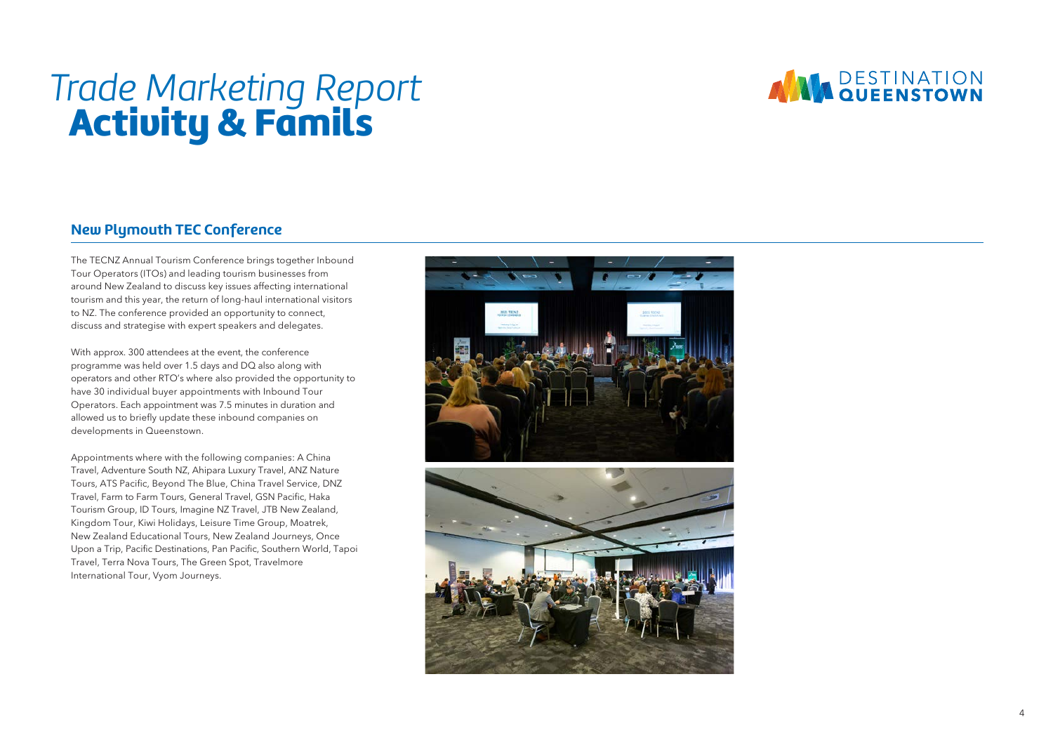# *Trade Marketing Report* **Activity & Famils**

## **ANN DESTINATION**

## **New Plymouth TEC Conference**

The TECNZ Annual Tourism Conference brings together Inbound Tour Operators (ITOs) and leading tourism businesses from around New Ze aland to discuss key issues affecting international tourism an d this y e ar, the return of long-haul international visitors to NZ. The conference provided a n opportunity to connect, discuss and strategise with e xpert speakers and delegates.

With approx. 300 attendees at the e vent, the conference programme was held over 1 . 5 days and D Q also along with operators and other RTO's where also provided the opportunity to have 3 0 individual buyer appointments with Inbound Tour Operators. Each appointment was 7 . 5 minutes i n duration and allowed u s to briefly update these inbound companies on

developments in Queenstown.<br>Appointments where with the following companies: A China Travel, Adventure South NZ, Ahipara Luxury Travel, ANZ Nature Tours, ATS Pacific, Beyond The Blue, China Travel Ser vice, D NZ Travel, Farm to Farm Tours, General Travel, GSN Pacific, Haka Tourism Group, ID Tours, Imagine N Z Travel, JTB New Zealand, Kingdom Tour, Kiwi Holidays, Leisure Time Group, Moatrek, New Zealand Educational Tours, New Zealand Journeys, Once Upon a Trip, Pacific Destinations, Pa n Pacific, Southern World, Tapoi Travel, Terra Nova Tours, The Green Spot, Travelmore International Tour, Vyom Journeys.



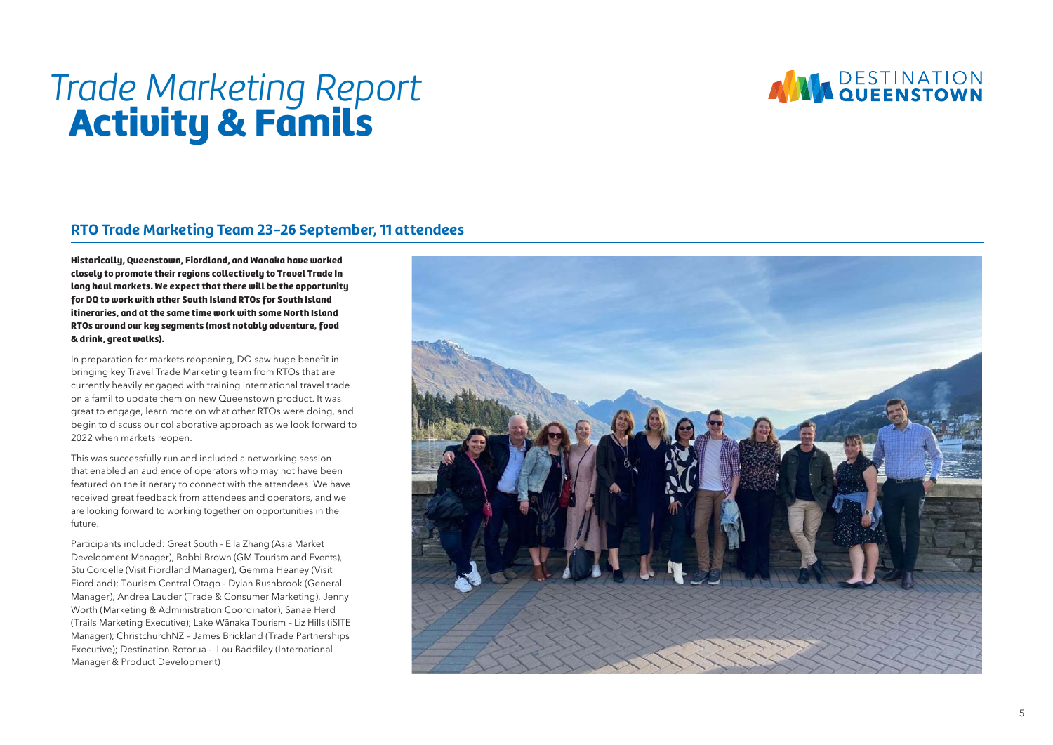

# *Trade Marketing Report* **Activity & Famils**

### **RTO Trade Marketing Team 23-26 September, 11 attendees**

Historically, Queenstown, Fiordland, and Wanaka have worked closely to promote their regions collectively to Travel Trade In long haul markets. We expect that there will be the opportunity for DQ to work with other South Island RTOs for South Island itineraries, and at the same time work with some North Island RTOs around our key segments (most notably adventure, food & drink, great walks).

In preparation for markets reopening, D Q saw huge benefit i n bringing key Travel Trade Marketing team from RTOs that are currently heavily engaged with training international travel trade on a famil to update them on new Queenstown product. It was great t o engage, learn more o n what other RTOs were doing, and begin t o discuss our collaborative approach a s w e look forward t o 2022 when markets reopen.

This wa s successfully run and included a networking session that enabled a n audience o f operators who may not have been featured o n the itinerary t o connect with the attendees. W e have received great feedback from attendees and operators, and w e are looking forward to working together on opportunities in the future.

Participants included: Great South - Ella Zhang (Asia Market Development Manager), Bobbi Brown (GM Tourism and Events), Stu Cordelle (Visit Fiordland Manager), Gemma Heaney (Visit Fiordland); Tourism Central Otago - Dylan Rushbrook (General<br>Manager), Andrea Lauder (Trade & Consumer Marketing), Jenny<br>Worth (Marketing & Administration Coordinator), Sanae Herd<br>(Trails Marketing Executive); Lake Wānaka Manager); Christchur chNZ – James Brickland (Trade P artnerships E xecutive); Destination Rotorua - Lou Baddiley (International Manager & Product Development)

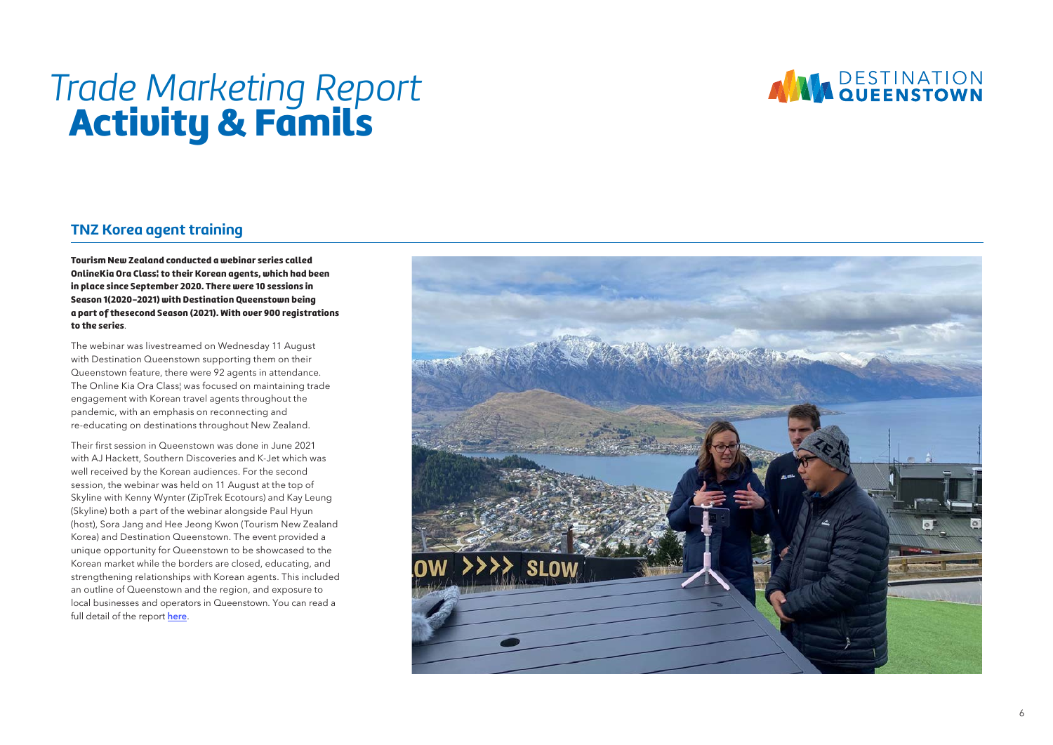# *Trade Marketing Report* **Activity & Famils**

## **ANN DESTINATION**

## **TNZ Korea agent training**

Tourism New Zealand conducted a webinar series called OnlineKia Ora Class¦ to their Korean agents, which had been in place since September 2020. There were 10 sessions in Season 1(2020-2021) with Destination Queenstown being a part of thesecond Season (2021). With over 900 registrations to the series .

The webinar was livestreamed o n Wednesday 1 1 August with Destination Queenstown supporting them o n their Queenstown feature, there were 9 2 agents i n attendance. The Online Kia Ora Class¦ was focused on maintaining trade engagement with Korean travel agents throughout the pandemic, with an emphasis o n reconnecting an d re-educating on destinations throughout New Zealand.

Their first session in Queenstown was done in June 2021 with AJ Hackett, Southern Discoveries and K-Jet which was well received by the Korean audiences. For the second session, the webinar was held o n 1 1 August a t the top o f Skyline with Kenny Wynter (ZipTrek Ecotours) and Kay Leung (Skyline) both a part of the webinar alongside Paul Hyun (host), Sora Jang and Hee Jeong Kwon (Tourism New Zealand Korea) and Destination Queenstown. The event provided a unique opportunity for Queenstown t o b e showcased t o the Korean market while the borders are closed, educating, and strengthening relationships with Korean agents. This included an outline of Queenstown and the region, and e xposure to local businesses and operators in Queenstown. You can read a full detail of the report <mark>[here](https://assets.simpleviewinc.com/simpleview/image/upload/v1/clients/queenstownnz/TNZ_Korea_Online_Kia_Ora_Class_Webinar_Series_DQ_Report_477a0d1c-3f4f-4e53-a386-6b491f74a0c2.pdf)</mark>.